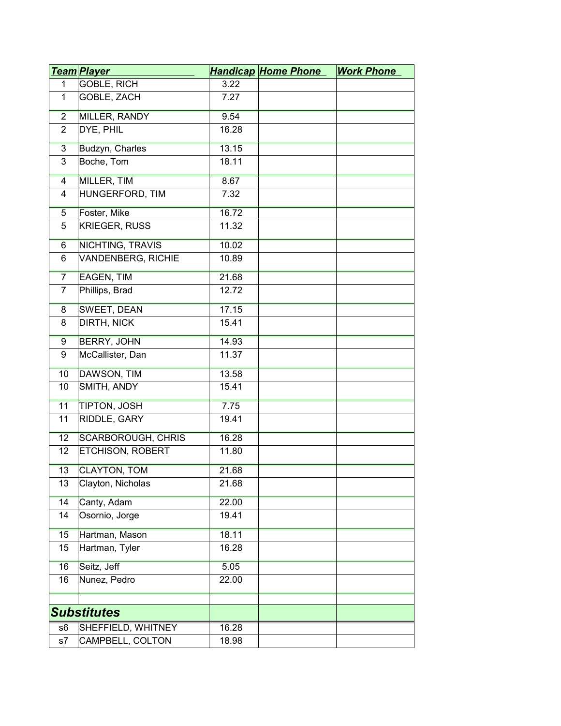|                 | <u>Team Player</u>        |       | <b>Handicap Home Phone</b> | <b>Work Phone</b> |
|-----------------|---------------------------|-------|----------------------------|-------------------|
| $\mathbf{1}$    | GOBLE, RICH               | 3.22  |                            |                   |
| $\mathbf{1}$    | GOBLE, ZACH               | 7.27  |                            |                   |
| $\overline{2}$  | <b>MILLER, RANDY</b>      | 9.54  |                            |                   |
| $\overline{2}$  | DYE, PHIL                 | 16.28 |                            |                   |
| $\overline{3}$  | Budzyn, Charles           | 13.15 |                            |                   |
| 3               | Boche, Tom                | 18.11 |                            |                   |
| 4               | MILLER, TIM               | 8.67  |                            |                   |
| $\overline{4}$  | HUNGERFORD, TIM           | 7.32  |                            |                   |
| $\overline{5}$  | Foster, Mike              | 16.72 |                            |                   |
| 5               | <b>KRIEGER, RUSS</b>      | 11.32 |                            |                   |
| $6\overline{6}$ | <b>NICHTING, TRAVIS</b>   | 10.02 |                            |                   |
| 6               | VANDENBERG, RICHIE        | 10.89 |                            |                   |
| $\overline{7}$  | <b>EAGEN, TIM</b>         | 21.68 |                            |                   |
| $\overline{7}$  | Phillips, Brad            | 12.72 |                            |                   |
| $\overline{8}$  | <b>SWEET, DEAN</b>        | 17.15 |                            |                   |
| 8               | <b>DIRTH, NICK</b>        | 15.41 |                            |                   |
| 9               | <b>BERRY, JOHN</b>        | 14.93 |                            |                   |
| 9               | McCallister, Dan          | 11.37 |                            |                   |
| 10              | DAWSON, TIM               | 13.58 |                            |                   |
| 10              | SMITH, ANDY               | 15.41 |                            |                   |
| 11              | TIPTON, JOSH              | 7.75  |                            |                   |
| 11              | RIDDLE, GARY              | 19.41 |                            |                   |
| 12              | <b>SCARBOROUGH, CHRIS</b> | 16.28 |                            |                   |
| 12              | ETCHISON, ROBERT          | 11.80 |                            |                   |
| 13              | <b>CLAYTON, TOM</b>       | 21.68 |                            |                   |
| 13              | Clayton, Nicholas         | 21.68 |                            |                   |
| 14              | Canty, Adam               | 22.00 |                            |                   |
| 14              | Osornio, Jorge            | 19.41 |                            |                   |
| 15              | Hartman, Mason            | 18.11 |                            |                   |
| 15              | Hartman, Tyler            | 16.28 |                            |                   |
| 16              | Seitz, Jeff               | 5.05  |                            |                   |
| 16              | Nunez, Pedro              | 22.00 |                            |                   |
|                 |                           |       |                            |                   |
|                 | <b>Substitutes</b>        |       |                            |                   |
| s6              | SHEFFIELD, WHITNEY        | 16.28 |                            |                   |
| s7              | CAMPBELL, COLTON          | 18.98 |                            |                   |